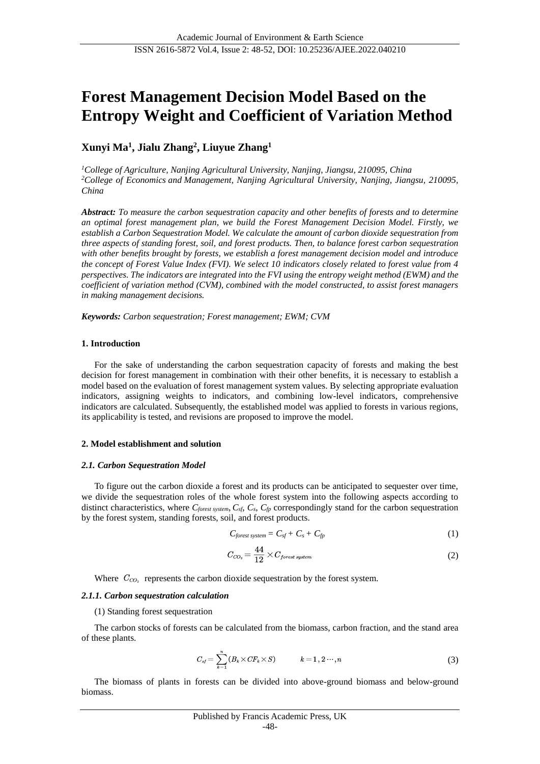# **Forest Management Decision Model Based on the Entropy Weight and Coefficient of Variation Method**

## **Xunyi Ma<sup>1</sup> , Jialu Zhang<sup>2</sup> , Liuyue Zhang<sup>1</sup>**

*<sup>1</sup>College of Agriculture, Nanjing Agricultural University, Nanjing, Jiangsu, 210095, China <sup>2</sup>College of Economics and Management, Nanjing Agricultural University, Nanjing, Jiangsu, 210095, China*

*Abstract: To measure the carbon sequestration capacity and other benefits of forests and to determine an optimal forest management plan, we build the Forest Management Decision Model. Firstly, we establish a Carbon Sequestration Model. We calculate the amount of carbon dioxide sequestration from three aspects of standing forest, soil, and forest products. Then, to balance forest carbon sequestration with other benefits brought by forests, we establish a forest management decision model and introduce the concept of Forest Value Index (FVI). We select 10 indicators closely related to forest value from 4 perspectives. The indicators are integrated into the FVI using the entropy weight method (EWM) and the coefficient of variation method (CVM), combined with the model constructed, to assist forest managers in making management decisions.*

*Keywords: Carbon sequestration; Forest management; EWM; CVM*

## **1. Introduction**

For the sake of understanding the carbon sequestration capacity of forests and making the best decision for forest management in combination with their other benefits, it is necessary to establish a model based on the evaluation of forest management system values. By selecting appropriate evaluation indicators, assigning weights to indicators, and combining low-level indicators, comprehensive indicators are calculated. Subsequently, the established model was applied to forests in various regions, its applicability is tested, and revisions are proposed to improve the model.

## **2. Model establishment and solution**

#### *2.1. Carbon Sequestration Model*

To figure out the carbon dioxide a forest and its products can be anticipated to sequester over time, we divide the sequestration roles of the whole forest system into the following aspects according to distinct characteristics, where *Cforest system*, *Csf*, *Cs*, *Cfp* correspondingly stand for the carbon sequestration by the forest system, standing forests, soil, and forest products.

$$
C_{forest\ system} = C_{sf} + C_s + C_{fp} \tag{1}
$$

$$
C_{CO_2} = \frac{44}{12} \times C_{forest\ system} \tag{2}
$$

Where  $C_{CO_2}$  represents the carbon dioxide sequestration by the forest system.

#### *2.1.1. Carbon sequestration calculation*

#### (1) Standing forest sequestration

The carbon stocks of forests can be calculated from the biomass, carbon fraction, and the stand area of these plants.

$$
C_{sf} = \sum_{k=1}^{n} (B_k \times CF_k \times S) \qquad k = 1, 2 \cdots, n
$$
 (3)

The biomass of plants in forests can be divided into above-ground biomass and below-ground biomass.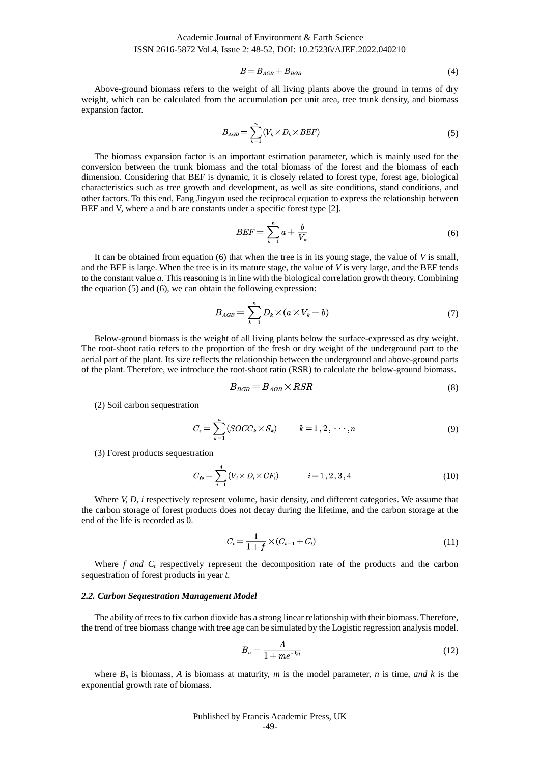$$
B = B_{AGB} + B_{BGB} \tag{4}
$$

Above-ground biomass refers to the weight of all living plants above the ground in terms of dry weight, which can be calculated from the accumulation per unit area, tree trunk density, and biomass expansion factor.

$$
B_{AGB} = \sum_{k=1}^{n} (V_k \times D_k \times BEF)
$$
 (5)

The biomass expansion factor is an important estimation parameter, which is mainly used for the conversion between the trunk biomass and the total biomass of the forest and the biomass of each dimension. Considering that BEF is dynamic, it is closely related to forest type, forest age, biological characteristics such as tree growth and development, as well as site conditions, stand conditions, and other factors. To this end, Fang Jingyun used the reciprocal equation to express the relationship between BEF and V, where a and b are constants under a specific forest type [2].

$$
BEF = \sum_{k=1}^{n} a + \frac{b}{V_k} \tag{6}
$$

It can be obtained from equation (6) that when the tree is in its young stage, the value of *V* is small, and the BEF is large. When the tree is in its mature stage, the value of *V* is very large, and the BEF tends to the constant value *a*. This reasoning is in line with the biological correlation growth theory. Combining the equation (5) and (6), we can obtain the following expression:

$$
B_{AGB} = \sum_{k=1}^{n} D_k \times (a \times V_k + b) \tag{7}
$$

Below-ground biomass is the weight of all living plants below the surface-expressed as dry weight. The root-shoot ratio refers to the proportion of the fresh or dry weight of the underground part to the aerial part of the plant. Its size reflects the relationship between the underground and above-ground parts of the plant. Therefore, we introduce the root-shoot ratio (RSR) to calculate the below-ground biomass.

$$
B_{BGB} = B_{AGB} \times RSR \tag{8}
$$

(2) Soil carbon sequestration

$$
C_s = \sum_{k=1}^n (SOCC_k \times S_k) \qquad k = 1, 2, \cdots, n \tag{9}
$$

(3) Forest products sequestration

$$
C_{fp} = \sum_{i=1}^{4} (V_i \times D_i \times CF_i) \qquad i = 1, 2, 3, 4 \qquad (10)
$$

Where *V, D, i* respectively represent volume, basic density, and different categories. We assume that the carbon storage of forest products does not decay during the lifetime, and the carbon storage at the end of the life is recorded as 0.

$$
C_t = \frac{1}{1+f} \times (C_{t-1} + C_t)
$$
\n(11)

Where  $f$  *and*  $C<sub>t</sub>$  respectively represent the decomposition rate of the products and the carbon sequestration of forest products in year *t*.

#### *2.2. Carbon Sequestration Management Model*

The ability of trees to fix carbon dioxide has a strong linear relationship with their biomass. Therefore, the trend of tree biomass change with tree age can be simulated by the Logistic regression analysis model.

$$
B_n = \frac{A}{1 + me^{-kn}}\tag{12}
$$

where  $B_n$  is biomass, A is biomass at maturity, m is the model parameter, n is time, and k is the exponential growth rate of biomass.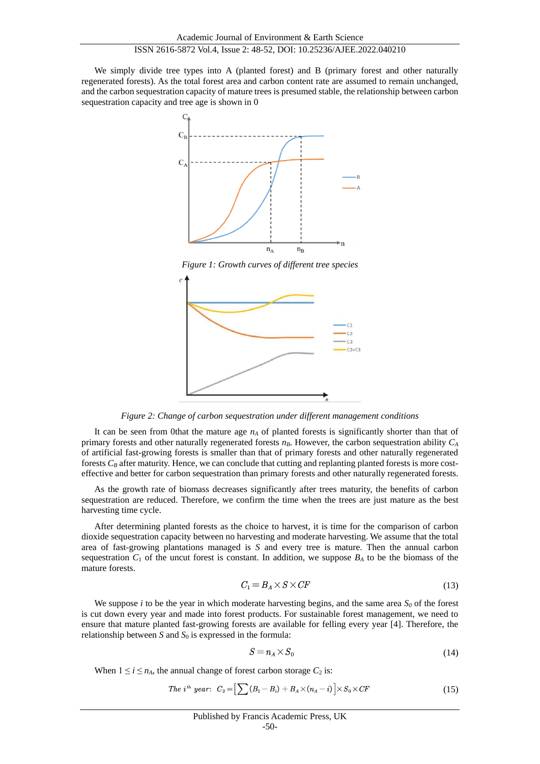We simply divide tree types into A (planted forest) and B (primary forest and other naturally regenerated forests). As the total forest area and carbon content rate are assumed to remain unchanged, and the carbon sequestration capacity of mature trees is presumed stable, the relationship between carbon sequestration capacity and tree age is shown in [0](#page-2-0)



*Figure 1: Growth curves of different tree species*

<span id="page-2-0"></span>

*Figure 2: Change of carbon sequestration under different management conditions*

It can be seen from [0t](#page-2-0)hat the mature age *n<sup>A</sup>* of planted forests is significantly shorter than that of primary forests and other naturally regenerated forests  $n<sub>B</sub>$ . However, the carbon sequestration ability  $C_A$ of artificial fast-growing forests is smaller than that of primary forests and other naturally regenerated forests  $C_B$  after maturity. Hence, we can conclude that cutting and replanting planted forests is more costeffective and better for carbon sequestration than primary forests and other naturally regenerated forests.

As the growth rate of biomass decreases significantly after trees maturity, the benefits of carbon sequestration are reduced. Therefore, we confirm the time when the trees are just mature as the best harvesting time cycle.

After determining planted forests as the choice to harvest, it is time for the comparison of carbon dioxide sequestration capacity between no harvesting and moderate harvesting. We assume that the total area of fast-growing plantations managed is *S* and every tree is mature. Then the annual carbon sequestration  $C_1$  of the uncut forest is constant. In addition, we suppose  $B_A$  to be the biomass of the mature forests.

$$
C_1 = B_A \times S \times CF \tag{13}
$$

We suppose *i* to be the year in which moderate harvesting begins, and the same area  $S_0$  of the forest is cut down every year and made into forest products. For sustainable forest management, we need to ensure that mature planted fast-growing forests are available for felling every year [4]. Therefore, the relationship between  $S$  and  $S_0$  is expressed in the formula:

$$
S = n_A \times S_0 \tag{14}
$$

When  $1 \le i \le n_A$ , the annual change of forest carbon storage  $C_2$  is:

The *i<sup>th</sup>* year: 
$$
C_2 = \Big[\sum (B_1 - B_i) + B_A \times (n_A - i)\Big] \times S_0 \times CF
$$
 (15)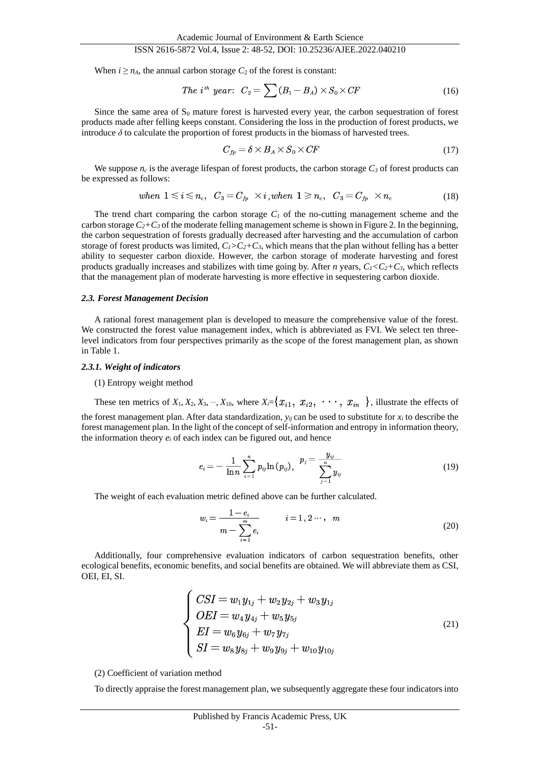## ISSN 2616-5872 Vol.4, Issue 2: 48-52, DOI: 10.25236/AJEE.2022.040210

When  $i \ge n_A$ , the annual carbon storage  $C_2$  of the forest is constant:

The *i<sup>th</sup>* year: 
$$
C_2 = \sum (B_1 - B_A) \times S_0 \times CF
$$
 (16)

Since the same area of  $S_0$  mature forest is harvested every year, the carbon sequestration of forest products made after felling keeps constant. Considering the loss in the production of forest products, we introduce  $\delta$  to calculate the proportion of forest products in the biomass of harvested trees.

$$
C_{fp} = \delta \times B_A \times S_0 \times CF \tag{17}
$$

We suppose  $n_c$  is the average lifespan of forest products, the carbon storage  $C_3$  of forest products can be expressed as follows:

$$
\text{when } 1 \leq i \leq n_c, \ \ C_3 = C_{fp} \ \times i \text{, when } 1 \geq n_c, \ \ C_3 = C_{fp} \ \times n_c \tag{18}
$$

The trend chart comparing the carbon storage  $C_I$  of the no-cutting management scheme and the carbon storage  $C_2 + C_3$  of the moderate felling management scheme is shown in Figure 2. In the beginning, the carbon sequestration of forests gradually decreased after harvesting and the accumulation of carbon storage of forest products was limited,  $C_1 > C_2 + C_3$ , which means that the plan without felling has a better ability to sequester carbon dioxide. However, the carbon storage of moderate harvesting and forest products gradually increases and stabilizes with time going by. After *n* years,  $C_1 < C_2 + C_3$ , which reflects that the management plan of moderate harvesting is more effective in sequestering carbon dioxide.

#### *2.3. Forest Management Decision*

A rational forest management plan is developed to measure the comprehensive value of the forest. We constructed the forest value management index, which is abbreviated as FVI. We select ten threelevel indicators from four perspectives primarily as the scope of the forest management plan, as shown in Table 1.

#### *2.3.1. Weight of indicators*

(1) Entropy weight method

These ten metrics of  $X_1, X_2, X_3, ..., X_{10}$ , where  $X_i = \{x_{i1}, x_{i2}, ..., x_{in}\}$ , illustrate the effects of the forest management plan. After data standardization,  $y_{ij}$  can be used to substitute for  $x_i$  to describe the forest management plan. In the light of the concept of self-information and entropy in information theory, the information theory  $e_i$  of each index can be figured out, and hence

$$
e_i = -\frac{1}{\ln n} \sum_{i=1}^n p_{ij} \ln (p_{ij}), \ \frac{p_j = \frac{y_{ij}}{\sum\limits_{j=1}^n y_{ij}}}{\sum\limits_{j=1}^n y_{ij}} \ \ \hspace{1cm} (19)
$$

The weight of each evaluation metric defined above can be further calculated.

$$
w_i = \frac{1 - e_i}{m - \sum_{i=1}^m e_i} \qquad i = 1, 2 \cdots, m
$$
\n
$$
(20)
$$

Additionally, four comprehensive evaluation indicators of carbon sequestration benefits, other ecological benefits, economic benefits, and social benefits are obtained. We will abbreviate them as CSI, OEI, EI, SI.

$$
\begin{cases}\nCSI = w_1y_{1j} + w_2y_{2j} + w_3y_{1j} \\
OEI = w_4y_{4j} + w_5y_{5j} \\
EI = w_6y_{6j} + w_7y_{7j} \\
SI = w_8y_{8j} + w_9y_{9j} + w_{10}y_{10j}\n\end{cases}
$$
\n(21)

## (2) Coefficient of variation method

To directly appraise the forest management plan, we subsequently aggregate these four indicators into